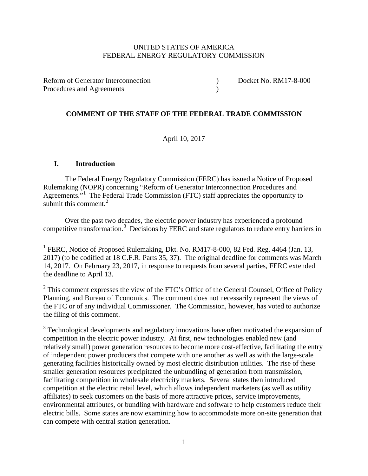## UNITED STATES OF AMERICA FEDERAL ENERGY REGULATORY COMMISSION

Reform of Generator Interconnection (a) Docket No. RM17-8-000 Procedures and Agreements (a)

## **COMMENT OF THE STAFF OF THE FEDERAL TRADE COMMISSION**

April 10, 2017

### **I. Introduction**

The Federal Energy Regulatory Commission (FERC) has issued a Notice of Proposed Rulemaking (NOPR) concerning "Reform of Generator Interconnection Procedures and Agreements."<sup>[1](#page-0-0)</sup> The Federal Trade Commission (FTC) staff appreciates the opportunity to submit this comment.<sup>[2](#page-0-1)</sup>

Over the past two decades, the electric power industry has experienced a profound competitive transformation. [3](#page-0-2) Decisions by FERC and state regulators to reduce entry barriers in

<span id="page-0-1"></span> $2$  This comment expresses the view of the FTC's Office of the General Counsel, Office of Policy Planning, and Bureau of Economics. The comment does not necessarily represent the views of the FTC or of any individual Commissioner. The Commission, however, has voted to authorize the filing of this comment.

<span id="page-0-2"></span><sup>3</sup> Technological developments and regulatory innovations have often motivated the expansion of competition in the electric power industry. At first, new technologies enabled new (and relatively small) power generation resources to become more cost-effective, facilitating the entry of independent power producers that compete with one another as well as with the large-scale generating facilities historically owned by most electric distribution utilities. The rise of these smaller generation resources precipitated the unbundling of generation from transmission, facilitating competition in wholesale electricity markets. Several states then introduced competition at the electric retail level, which allows independent marketers (as well as utility affiliates) to seek customers on the basis of more attractive prices, service improvements, environmental attributes, or bundling with hardware and software to help customers reduce their electric bills. Some states are now examining how to accommodate more on-site generation that can compete with central station generation.

<span id="page-0-0"></span><sup>&</sup>lt;sup>1</sup> FERC, Notice of Proposed Rulemaking, Dkt. No. RM17-8-000, 82 Fed. Reg. 4464 (Jan. 13, 2017) (to be codified at 18 C.F.R. Parts 35, 37). The original deadline for comments was March 14, 2017. On February 23, 2017, in response to requests from several parties, FERC extended the deadline to April 13.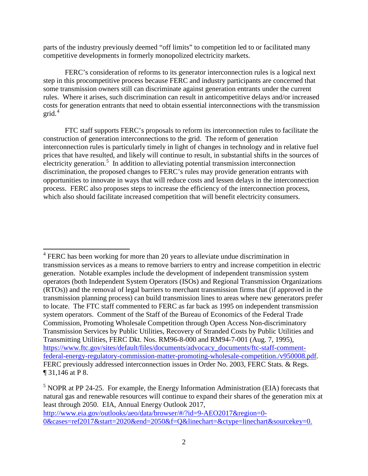parts of the industry previously deemed "off limits" to competition led to or facilitated many competitive developments in formerly monopolized electricity markets.

FERC's consideration of reforms to its generator interconnection rules is a logical next step in this procompetitive process because FERC and industry participants are concerned that some transmission owners still can discriminate against generation entrants under the current rules. Where it arises, such discrimination can result in anticompetitive delays and/or increased costs for generation entrants that need to obtain essential interconnections with the transmission grid. $4$ 

FTC staff supports FERC's proposals to reform its interconnection rules to facilitate the construction of generation interconnections to the grid. The reform of generation interconnection rules is particularly timely in light of changes in technology and in relative fuel prices that have resulted, and likely will continue to result, in substantial shifts in the sources of electricity generation.<sup>[5](#page-1-1)</sup> In addition to alleviating potential transmission interconnection discrimination, the proposed changes to FERC's rules may provide generation entrants with opportunities to innovate in ways that will reduce costs and lessen delays in the interconnection process. FERC also proposes steps to increase the efficiency of the interconnection process, which also should facilitate increased competition that will benefit electricity consumers.

<span id="page-1-0"></span> $4$  FERC has been working for more than 20 years to alleviate undue discrimination in transmission services as a means to remove barriers to entry and increase competition in electric generation. Notable examples include the development of independent transmission system operators (both Independent System Operators (ISOs) and Regional Transmission Organizations (RTOs)) and the removal of legal barriers to merchant transmission firms that (if approved in the transmission planning process) can build transmission lines to areas where new generators prefer to locate. The FTC staff commented to FERC as far back as 1995 on independent transmission system operators. Comment of the Staff of the Bureau of Economics of the Federal Trade Commission, Promoting Wholesale Competition through Open Access Non-discriminatory Transmission Services by Public Utilities, Recovery of Stranded Costs by Public Utilities and Transmitting Utilities, FERC Dkt. Nos. RM96-8-000 and RM94-7-001 (Aug. 7, 1995), [https://www.ftc.gov/sites/default/files/documents/advocacy\\_documents/ftc-staff-comment](https://www.ftc.gov/sites/default/files/documents/advocacy_documents/ftc-staff-comment-federal-energy-regulatory-commission-matter-promoting-wholesale-competition./v950008.pdf)[federal-energy-regulatory-commission-matter-promoting-wholesale-competition./v950008.pdf.](https://www.ftc.gov/sites/default/files/documents/advocacy_documents/ftc-staff-comment-federal-energy-regulatory-commission-matter-promoting-wholesale-competition./v950008.pdf) FERC previously addressed interconnection issues in Order No. 2003, FERC Stats. & Regs. ¶ 31,146 at P 8.

<span id="page-1-1"></span> $<sup>5</sup>$  NOPR at PP 24-25. For example, the Energy Information Administration (EIA) forecasts that</sup> natural gas and renewable resources will continue to expand their shares of the generation mix at least through 2050. EIA, Annual Energy Outlook 2017, [http://www.eia.gov/outlooks/aeo/data/browser/#/?id=9-AEO2017&region=0-](http://www.eia.gov/outlooks/aeo/data/browser/#/?id=9-AEO2017®ion=0-0&cases=ref2017&start=2020&end=2050&f=Q&linechart=&ctype=linechart&sourcekey=0) [0&cases=ref2017&start=2020&end=2050&f=Q&linechart=&ctype=linechart&sourcekey=0.](http://www.eia.gov/outlooks/aeo/data/browser/#/?id=9-AEO2017®ion=0-0&cases=ref2017&start=2020&end=2050&f=Q&linechart=&ctype=linechart&sourcekey=0)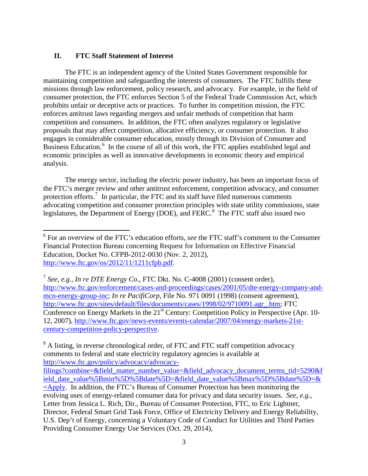# **II. FTC Staff Statement of Interest**

The FTC is an independent agency of the United States Government responsible for maintaining competition and safeguarding the interests of consumers. The FTC fulfills these missions through law enforcement, policy research, and advocacy. For example, in the field of consumer protection, the FTC enforces Section 5 of the Federal Trade Commission Act, which prohibits unfair or deceptive acts or practices. To further its competition mission, the FTC enforces antitrust laws regarding mergers and unfair methods of competition that harm competition and consumers. In addition, the FTC often analyzes regulatory or legislative proposals that may affect competition, allocative efficiency, or consumer protection. It also engages in considerable consumer education, mostly through its Division of Consumer and Business Education.<sup>[6](#page-2-0)</sup> In the course of all of this work, the FTC applies established legal and economic principles as well as innovative developments in economic theory and empirical analysis.

The energy sector, including the electric power industry, has been an important focus of the FTC's merger review and other antitrust enforcement, competition advocacy, and consumer protection efforts.<sup>[7](#page-2-1)</sup> In particular, the FTC and its staff have filed numerous comments advocating competition and consumer protection principles with state utility commissions, state legislatures, the Department of Energy (DOE), and FERC.<sup>[8](#page-2-2)</sup> The FTC staff also issued two

<span id="page-2-2"></span><sup>8</sup> A listing, in reverse chronological order, of FTC and FTC staff competition advocacy comments to federal and state electricity regulatory agencies is available at [http://www.ftc.gov/policy/advocacy/advocacy-](http://www.ftc.gov/policy/advocacy/advocacy-filings?combine=&field_matter_number_value=&field_advocacy_document_terms_tid=5290&field_date_value%5Bmin%5D%5Bdate%5D=&field_date_value%5Bmax%5D%5Bdate%5D=&=Apply)

<span id="page-2-0"></span><sup>6</sup> For an overview of the FTC's education efforts, *see* the FTC staff's comment to the Consumer Financial Protection Bureau concerning Request for Information on Effective Financial Education, Docket No. CFPB-2012-0030 (Nov. 2, 2012), [http://www.ftc.gov/os/2012/11/1211cfpb.pdf.](http://www.ftc.gov/os/2012/11/1211cfpb.pdf)

<span id="page-2-1"></span><sup>7</sup> *See*, *e.g.*, *In re DTE Energy Co*., FTC Dkt. No. C-4008 (2001) (consent order), [http://www.ftc.gov/enforcement/cases-and-proceedings/cases/2001/05/dte-energy-company-and](http://www.ftc.gov/enforcement/cases-and-proceedings/cases/2001/05/dte-energy-company-and-mcn-energy-group-inc)[mcn-energy-group-inc;](http://www.ftc.gov/enforcement/cases-and-proceedings/cases/2001/05/dte-energy-company-and-mcn-energy-group-inc) *In re PacifiCorp*, File No. 971 0091 (1998) (consent agreement), [http://www.ftc.gov/sites/default/files/documents/cases/1998/02/9710091.agr\\_.htm;](http://www.ftc.gov/sites/default/files/documents/cases/1998/02/9710091.agr_.htm) FTC Conference on Energy Markets in the 21<sup>st</sup> Century: Competition Policy in Perspective (Apr. 10-12, 2007), [http://www.ftc.gov/news-events/events-calendar/2007/04/energy-markets-21st](http://www.ftc.gov/news-events/events-calendar/2007/04/energy-markets-21st-century-competition-policy-perspective)[century-competition-policy-perspective.](http://www.ftc.gov/news-events/events-calendar/2007/04/energy-markets-21st-century-competition-policy-perspective)

[filings?combine=&field\\_matter\\_number\\_value=&field\\_advocacy\\_document\\_terms\\_tid=5290&f](http://www.ftc.gov/policy/advocacy/advocacy-filings?combine=&field_matter_number_value=&field_advocacy_document_terms_tid=5290&field_date_value%5Bmin%5D%5Bdate%5D=&field_date_value%5Bmax%5D%5Bdate%5D=&=Apply) [ield\\_date\\_value%5Bmin%5D%5Bdate%5D=&field\\_date\\_value%5Bmax%5D%5Bdate%5D=&](http://www.ftc.gov/policy/advocacy/advocacy-filings?combine=&field_matter_number_value=&field_advocacy_document_terms_tid=5290&field_date_value%5Bmin%5D%5Bdate%5D=&field_date_value%5Bmax%5D%5Bdate%5D=&=Apply)  $=\underline{Apply}$ . In addition, the FTC's Bureau of Consumer Protection has been monitoring the evolving uses of energy-related consumer data for privacy and data security issues. *See*, *e.g*., Letter from Jessica L. Rich, Dir., Bureau of Consumer Protection, FTC, to Eric Lightner, Director, Federal Smart Grid Task Force, Office of Electricity Delivery and Energy Reliability, U.S. Dep't of Energy, concerning a Voluntary Code of Conduct for Utilities and Third Parties Providing Consumer Energy Use Services (Oct. 29, 2014),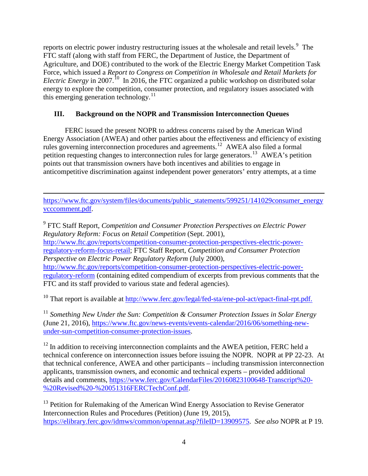reports on electric power industry restructuring issues at the wholesale and retail levels.<sup>[9](#page-3-0)</sup> The FTC staff (along with staff from FERC, the Department of Justice, the Department of Agriculture, and DOE) contributed to the work of the Electric Energy Market Competition Task Force, which issued a *Report to Congress on Competition in Wholesale and Retail Markets for Electric Energy* in 2007.<sup>10</sup> In 2016, the FTC organized a public workshop on distributed solar energy to explore the competition, consumer protection, and regulatory issues associated with this emerging generation technology.<sup>[11](#page-3-2)</sup>

# **III. Background on the NOPR and Transmission Interconnection Queues**

FERC issued the present NOPR to address concerns raised by the American Wind Energy Association (AWEA) and other parties about the effectiveness and efficiency of existing rules governing interconnection procedures and agreements.<sup>12</sup> AWEA also filed a formal petition requesting changes to interconnection rules for large generators.<sup>[13](#page-3-4)</sup> AWEA's petition points out that transmission owners have both incentives and abilities to engage in anticompetitive discrimination against independent power generators' entry attempts, at a time

 $\overline{\phantom{a}}$ [https://www.ftc.gov/system/files/documents/public\\_statements/599251/141029consumer\\_energy](https://www.ftc.gov/system/files/documents/public_statements/599251/141029consumer_energyvcccomment.pdf) [vcccomment.pdf.](https://www.ftc.gov/system/files/documents/public_statements/599251/141029consumer_energyvcccomment.pdf)

<span id="page-3-0"></span><sup>9</sup> FTC Staff Report, *Competition and Consumer Protection Perspectives on Electric Power Regulatory Reform: Focus on Retail Competition* (Sept. 2001), [http://www.ftc.gov/reports/competition-consumer-protection-perspectives-electric-power](http://www.ftc.gov/reports/competition-consumer-protection-perspectives-electric-power-regulatory-reform-focus-retail)[regulatory-reform-focus-retail;](http://www.ftc.gov/reports/competition-consumer-protection-perspectives-electric-power-regulatory-reform-focus-retail) FTC Staff Report, *Competition and Consumer Protection Perspective on Electric Power Regulatory Reform* (July 2000), [http://www.ftc.gov/reports/competition-consumer-protection-perspectives-electric-power](http://www.ftc.gov/reports/competition-consumer-protection-perspectives-electric-power-regulatory-reform)[regulatory-reform](http://www.ftc.gov/reports/competition-consumer-protection-perspectives-electric-power-regulatory-reform) (containing edited compendium of excerpts from previous comments that the FTC and its staff provided to various state and federal agencies).

<span id="page-3-1"></span><sup>10</sup> That report is available at [http://www.ferc.gov/legal/fed-sta/ene-pol-act/epact-final-rpt.pdf.](http://www.ferc.gov/legal/fed-sta/ene-pol-act/epact-final-rpt.pdf)

<span id="page-3-2"></span><sup>11</sup> *Something New Under the Sun: Competition & Consumer Protection Issues in Solar Energy* (June 21, 2016), [https://www.ftc.gov/news-events/events-calendar/2016/06/something-new](https://www.ftc.gov/news-events/events-calendar/2016/06/something-new-under-sun-competition-consumer-protection-issues)[under-sun-competition-consumer-protection-issues.](https://www.ftc.gov/news-events/events-calendar/2016/06/something-new-under-sun-competition-consumer-protection-issues)

<span id="page-3-3"></span> $12$  In addition to receiving interconnection complaints and the AWEA petition, FERC held a technical conference on interconnection issues before issuing the NOPR. NOPR at PP 22-23. At that technical conference, AWEA and other participants – including transmission interconnection applicants, transmission owners, and economic and technical experts – provided additional details and comments, [https://www.ferc.gov/CalendarFiles/20160823100648-Transcript%20-](https://www.ferc.gov/CalendarFiles/20160823100648-Transcript%20-%20Revised%20-%20051316FERCTechConf.pdf) [%20Revised%20-%20051316FERCTechConf.pdf.](https://www.ferc.gov/CalendarFiles/20160823100648-Transcript%20-%20Revised%20-%20051316FERCTechConf.pdf)

<span id="page-3-4"></span><sup>13</sup> Petition for Rulemaking of the American Wind Energy Association to Revise Generator Interconnection Rules and Procedures (Petition) (June 19, 2015), [https://elibrary.ferc.gov/idmws/common/opennat.asp?fileID=13909575.](https://elibrary.ferc.gov/idmws/common/opennat.asp?fileID=13909575) *See also* NOPR at P 19.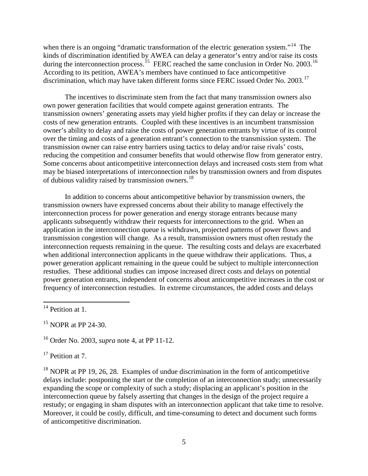when there is an ongoing "dramatic transformation of the electric generation system."<sup>[14](#page-4-0)</sup> The kinds of discrimination identified by AWEA can delay a generator's entry and/or raise its costs during the interconnection process.<sup>[15](#page-4-1)</sup> FERC reached the same conclusion in Order No. 2003.<sup>[16](#page-4-2)</sup> According to its petition, AWEA's members have continued to face anticompetitive discrimination, which may have taken different forms since FERC issued Order No. 2003.<sup>[17](#page-4-3)</sup>

The incentives to discriminate stem from the fact that many transmission owners also own power generation facilities that would compete against generation entrants. The transmission owners' generating assets may yield higher profits if they can delay or increase the costs of new generation entrants. Coupled with these incentives is an incumbent transmission owner's ability to delay and raise the costs of power generation entrants by virtue of its control over the timing and costs of a generation entrant's connection to the transmission system. The transmission owner can raise entry barriers using tactics to delay and/or raise rivals' costs, reducing the competition and consumer benefits that would otherwise flow from generator entry. Some concerns about anticompetitive interconnection delays and increased costs stem from what may be biased interpretations of interconnection rules by transmission owners and from disputes of dubious validity raised by transmission owners.<sup>[18](#page-4-4)</sup>

In addition to concerns about anticompetitive behavior by transmission owners, the transmission owners have expressed concerns about their ability to manage effectively the interconnection process for power generation and energy storage entrants because many applicants subsequently withdraw their requests for interconnections to the grid. When an application in the interconnection queue is withdrawn, projected patterns of power flows and transmission congestion will change. As a result, transmission owners must often restudy the interconnection requests remaining in the queue. The resulting costs and delays are exacerbated when additional interconnection applicants in the queue withdraw their applications. Thus, a power generation applicant remaining in the queue could be subject to multiple interconnection restudies. These additional studies can impose increased direct costs and delays on potential power generation entrants, independent of concerns about anticompetitive increases in the cost or frequency of interconnection restudies. In extreme circumstances, the added costs and delays

<span id="page-4-2"></span><sup>16</sup> Order No. 2003, *supra* note 4, at PP 11-12.

<span id="page-4-3"></span> $17$  Petition at 7.

<span id="page-4-4"></span> $18$  NOPR at PP 19, 26, 28. Examples of undue discrimination in the form of anticompetitive delays include: postponing the start or the completion of an interconnection study; unnecessarily expanding the scope or complexity of such a study; displacing an applicant's position in the interconnection queue by falsely asserting that changes in the design of the project require a restudy; or engaging in sham disputes with an interconnection applicant that take time to resolve. Moreover, it could be costly, difficult, and time-consuming to detect and document such forms of anticompetitive discrimination.

<span id="page-4-0"></span> $14$  Petition at 1.

<span id="page-4-1"></span> $15$  NOPR at PP 24-30.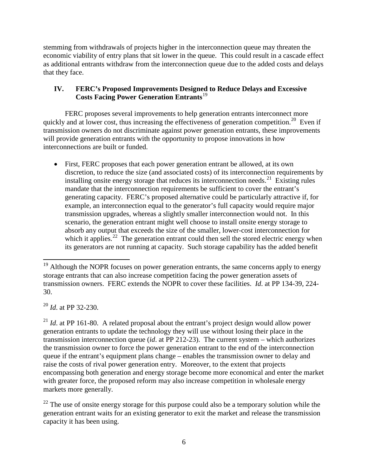stemming from withdrawals of projects higher in the interconnection queue may threaten the economic viability of entry plans that sit lower in the queue. This could result in a cascade effect as additional entrants withdraw from the interconnection queue due to the added costs and delays that they face.

# **IV. FERC's Proposed Improvements Designed to Reduce Delays and Excessive Costs Facing Power Generation Entrants**[19](#page-5-0)

FERC proposes several improvements to help generation entrants interconnect more quickly and at lower cost, thus increasing the effectiveness of generation competition.<sup>20</sup> Even if transmission owners do not discriminate against power generation entrants, these improvements will provide generation entrants with the opportunity to propose innovations in how interconnections are built or funded.

• First, FERC proposes that each power generation entrant be allowed, at its own discretion, to reduce the size (and associated costs) of its interconnection requirements by installing onsite energy storage that reduces its interconnection needs.<sup>[21](#page-5-2)</sup> Existing rules mandate that the interconnection requirements be sufficient to cover the entrant's generating capacity. FERC's proposed alternative could be particularly attractive if, for example, an interconnection equal to the generator's full capacity would require major transmission upgrades, whereas a slightly smaller interconnection would not. In this scenario, the generation entrant might well choose to install onsite energy storage to absorb any output that exceeds the size of the smaller, lower-cost interconnection for which it applies.<sup>22</sup> The generation entrant could then sell the stored electric energy when its generators are not running at capacity. Such storage capability has the added benefit

<span id="page-5-1"></span><sup>20</sup> *Id*. at PP 32-230.

<span id="page-5-2"></span><sup>21</sup> *Id.* at PP 161-80. A related proposal about the entrant's project design would allow power generation entrants to update the technology they will use without losing their place in the transmission interconnection queue (*id*. at PP 212-23). The current system – which authorizes the transmission owner to force the power generation entrant to the end of the interconnection queue if the entrant's equipment plans change – enables the transmission owner to delay and raise the costs of rival power generation entry. Moreover, to the extent that projects encompassing both generation and energy storage become more economical and enter the market with greater force, the proposed reform may also increase competition in wholesale energy markets more generally.

<span id="page-5-3"></span> $22$  The use of onsite energy storage for this purpose could also be a temporary solution while the generation entrant waits for an existing generator to exit the market and release the transmission capacity it has been using.

<span id="page-5-0"></span><sup>&</sup>lt;sup>19</sup> Although the NOPR focuses on power generation entrants, the same concerns apply to energy storage entrants that can also increase competition facing the power generation assets of transmission owners. FERC extends the NOPR to cover these facilities. *Id*. at PP 134-39, 224- 30.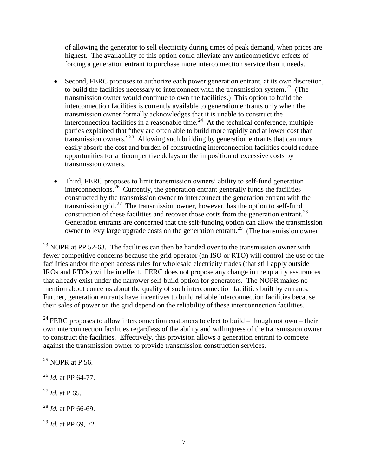of allowing the generator to sell electricity during times of peak demand, when prices are highest. The availability of this option could alleviate any anticompetitive effects of forcing a generation entrant to purchase more interconnection service than it needs.

- Second, FERC proposes to authorize each power generation entrant, at its own discretion, to build the facilities necessary to interconnect with the transmission system.<sup>[23](#page-6-0)</sup> (The transmission owner would continue to own the facilities.) This option to build the interconnection facilities is currently available to generation entrants only when the transmission owner formally acknowledges that it is unable to construct the interconnection facilities in a reasonable time.<sup>24</sup> At the technical conference, multiple parties explained that "they are often able to build more rapidly and at lower cost than transmission owners."[25](#page-6-2) Allowing such building by generation entrants that can more easily absorb the cost and burden of constructing interconnection facilities could reduce opportunities for anticompetitive delays or the imposition of excessive costs by transmission owners.
- Third, FERC proposes to limit transmission owners' ability to self-fund generation interconnections.[26](#page-6-3) Currently, the generation entrant generally funds the facilities constructed by the transmission owner to interconnect the generation entrant with the transmission grid.<sup>27</sup> The transmission owner, however, has the option to self-fund construction of these facilities and recover those costs from the generation entrant.<sup>28</sup> Generation entrants are concerned that the self-funding option can allow the transmission owner to levy large upgrade costs on the generation entrant.[29](#page-6-6) (The transmission owner

<span id="page-6-1"></span><sup>24</sup> FERC proposes to allow interconnection customers to elect to build – though not own – their own interconnection facilities regardless of the ability and willingness of the transmission owner to construct the facilities. Effectively, this provision allows a generation entrant to compete against the transmission owner to provide transmission construction services.

<span id="page-6-2"></span> $^{25}$  NOPR at P 56.

<span id="page-6-3"></span><sup>26</sup> *Id*. at PP 64-77.

<span id="page-6-4"></span><sup>27</sup> *Id*. at P 65.

<span id="page-6-5"></span><sup>28</sup> *Id*. at PP 66-69.

<span id="page-6-6"></span><sup>29</sup> *Id*. at PP 69, 72.

<span id="page-6-0"></span> $^{23}$  NOPR at PP 52-63. The facilities can then be handed over to the transmission owner with fewer competitive concerns because the grid operator (an ISO or RTO) will control the use of the facilities and/or the open access rules for wholesale electricity trades (that still apply outside IROs and RTOs) will be in effect. FERC does not propose any change in the quality assurances that already exist under the narrower self-build option for generators. The NOPR makes no mention about concerns about the quality of such interconnection facilities built by entrants. Further, generation entrants have incentives to build reliable interconnection facilities because their sales of power on the grid depend on the reliability of these interconnection facilities.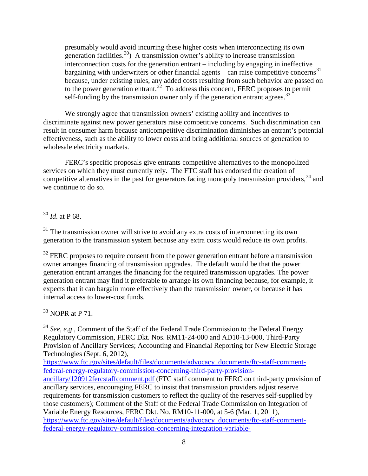presumably would avoid incurring these higher costs when interconnecting its own generation facilities.<sup>30</sup>) A transmission owner's ability to increase transmission interconnection costs for the generation entrant – including by engaging in ineffective bargaining with underwriters or other financial agents – can raise competitive concerns<sup>[31](#page-7-1)</sup> because, under existing rules, any added costs resulting from such behavior are passed on to the power generation entrant.<sup>32</sup> To address this concern, FERC proposes to permit self-funding by the transmission owner only if the generation entrant agrees.<sup>[33](#page-7-3)</sup>

We strongly agree that transmission owners' existing ability and incentives to discriminate against new power generators raise competitive concerns. Such discrimination can result in consumer harm because anticompetitive discrimination diminishes an entrant's potential effectiveness, such as the ability to lower costs and bring additional sources of generation to wholesale electricity markets.

FERC's specific proposals give entrants competitive alternatives to the monopolized services on which they must currently rely. The FTC staff has endorsed the creation of competitive alternatives in the past for generators facing monopoly transmission providers,<sup>[34](#page-7-4)</sup> and we continue to do so.

<span id="page-7-0"></span><sup>30</sup> *Id*. at P 68.

<span id="page-7-1"></span> $31$  The transmission owner will strive to avoid any extra costs of interconnecting its own generation to the transmission system because any extra costs would reduce its own profits.

<span id="page-7-2"></span> $32$  FERC proposes to require consent from the power generation entrant before a transmission owner arranges financing of transmission upgrades. The default would be that the power generation entrant arranges the financing for the required transmission upgrades. The power generation entrant may find it preferable to arrange its own financing because, for example, it expects that it can bargain more effectively than the transmission owner, or because it has internal access to lower-cost funds.

<span id="page-7-3"></span> $33$  NOPR at P 71.

<span id="page-7-4"></span><sup>34</sup> *See*, *e.g*., Comment of the Staff of the Federal Trade Commission to the Federal Energy Regulatory Commission, FERC Dkt. Nos. RM11-24-000 and AD10-13-000, Third-Party Provision of Ancillary Services; Accounting and Financial Reporting for New Electric Storage Technologies (Sept. 6, 2012),

[https://www.ftc.gov/sites/default/files/documents/advocacy\\_documents/ftc-staff-comment](https://www.ftc.gov/sites/default/files/documents/advocacy_documents/ftc-staff-comment-federal-energy-regulatory-commission-concerning-third-party-provision-ancillary/120912fercstaffcomment.pdf)[federal-energy-regulatory-commission-concerning-third-party-provision-](https://www.ftc.gov/sites/default/files/documents/advocacy_documents/ftc-staff-comment-federal-energy-regulatory-commission-concerning-third-party-provision-ancillary/120912fercstaffcomment.pdf)

[ancillary/120912fercstaffcomment.pdf](https://www.ftc.gov/sites/default/files/documents/advocacy_documents/ftc-staff-comment-federal-energy-regulatory-commission-concerning-third-party-provision-ancillary/120912fercstaffcomment.pdf) (FTC staff comment to FERC on third-party provision of ancillary services, encouraging FERC to insist that transmission providers adjust reserve requirements for transmission customers to reflect the quality of the reserves self-supplied by those customers); Comment of the Staff of the Federal Trade Commission on Integration of Variable Energy Resources, FERC Dkt. No. RM10-11-000, at 5-6 (Mar. 1, 2011), [https://www.ftc.gov/sites/default/files/documents/advocacy\\_documents/ftc-staff-comment](https://www.ftc.gov/sites/default/files/documents/advocacy_documents/ftc-staff-comment-federal-energy-regulatory-commission-concerning-integration-variable-energy/110304fercenergyresources.pdf)[federal-energy-regulatory-commission-concerning-integration-variable-](https://www.ftc.gov/sites/default/files/documents/advocacy_documents/ftc-staff-comment-federal-energy-regulatory-commission-concerning-integration-variable-energy/110304fercenergyresources.pdf)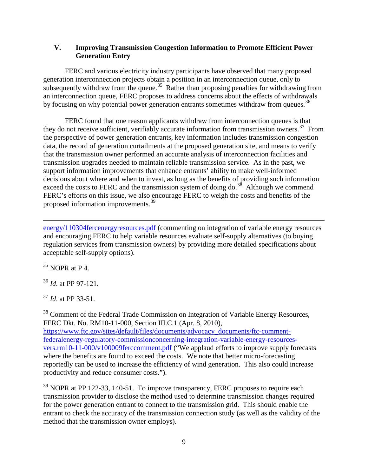### **V. Improving Transmission Congestion Information to Promote Efficient Power Generation Entry**

FERC and various electricity industry participants have observed that many proposed generation interconnection projects obtain a position in an interconnection queue, only to subsequently withdraw from the queue.<sup>[35](#page-8-0)</sup> Rather than proposing penalties for withdrawing from an interconnection queue, FERC proposes to address concerns about the effects of withdrawals by focusing on why potential power generation entrants sometimes withdraw from queues.<sup>36</sup>

FERC found that one reason applicants withdraw from interconnection queues is that they do not receive sufficient, verifiably accurate information from transmission owners.<sup>37</sup> From the perspective of power generation entrants, key information includes transmission congestion data, the record of generation curtailments at the proposed generation site, and means to verify that the transmission owner performed an accurate analysis of interconnection facilities and transmission upgrades needed to maintain reliable transmission service. As in the past, we support information improvements that enhance entrants' ability to make well-informed decisions about where and when to invest, as long as the benefits of providing such information exceed the costs to FERC and the transmission system of doing do.<sup>[38](#page-8-3)</sup> Although we commend FERC's efforts on this issue, we also encourage FERC to weigh the costs and benefits of the proposed information improvements.[39](#page-8-4) 

[energy/110304fercenergyresources.pdf](https://www.ftc.gov/sites/default/files/documents/advocacy_documents/ftc-staff-comment-federal-energy-regulatory-commission-concerning-integration-variable-energy/110304fercenergyresources.pdf) (commenting on integration of variable energy resources and encouraging FERC to help variable resources evaluate self-supply alternatives (to buying regulation services from transmission owners) by providing more detailed specifications about acceptable self-supply options).

<span id="page-8-0"></span> $35$  NOPR at P 4.

 $\overline{\phantom{a}}$ 

<span id="page-8-1"></span><sup>36</sup> *Id*. at PP 97-121.

<span id="page-8-2"></span><sup>37</sup> *Id*. at PP 33-51.

<span id="page-8-3"></span><sup>38</sup> Comment of the Federal Trade Commission on Integration of Variable Energy Resources, FERC Dkt. No. RM10-11-000, Section III.C.1 (Apr. 8, 2010), [https://www.ftc.gov/sites/default/files/documents/advocacy\\_documents/ftc-comment](https://www.ftc.gov/sites/default/files/documents/advocacy_documents/ftc-comment-federalenergy-regulatory-commissionconcerning-integration-variable-energy-resources-vers.rm10-11-000/v100009ferccomment.pdf)[federalenergy-regulatory-commissionconcerning-integration-variable-energy-resources](https://www.ftc.gov/sites/default/files/documents/advocacy_documents/ftc-comment-federalenergy-regulatory-commissionconcerning-integration-variable-energy-resources-vers.rm10-11-000/v100009ferccomment.pdf)[vers.rm10-11-000/v100009ferccomment.pdf](https://www.ftc.gov/sites/default/files/documents/advocacy_documents/ftc-comment-federalenergy-regulatory-commissionconcerning-integration-variable-energy-resources-vers.rm10-11-000/v100009ferccomment.pdf) ("We applaud efforts to improve supply forecasts where the benefits are found to exceed the costs. We note that better micro-forecasting reportedly can be used to increase the efficiency of wind generation. This also could increase productivity and reduce consumer costs.").

<span id="page-8-4"></span> $39$  NOPR at PP 122-33, 140-51. To improve transparency, FERC proposes to require each transmission provider to disclose the method used to determine transmission changes required for the power generation entrant to connect to the transmission grid. This should enable the entrant to check the accuracy of the transmission connection study (as well as the validity of the method that the transmission owner employs).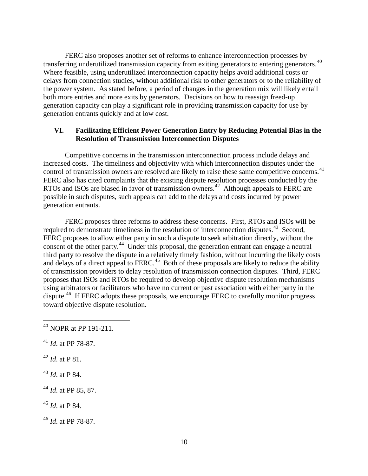FERC also proposes another set of reforms to enhance interconnection processes by transferring underutilized transmission capacity from exiting generators to entering generators.<sup>[40](#page-9-0)</sup> Where feasible, using underutilized interconnection capacity helps avoid additional costs or delays from connection studies, without additional risk to other generators or to the reliability of the power system. As stated before, a period of changes in the generation mix will likely entail both more entries and more exits by generators. Decisions on how to reassign freed-up generation capacity can play a significant role in providing transmission capacity for use by generation entrants quickly and at low cost.

### **VI. Facilitating Efficient Power Generation Entry by Reducing Potential Bias in the Resolution of Transmission Interconnection Disputes**

Competitive concerns in the transmission interconnection process include delays and increased costs. The timeliness and objectivity with which interconnection disputes under the control of transmission owners are resolved are likely to raise these same competitive concerns.<sup>41</sup> FERC also has cited complaints that the existing dispute resolution processes conducted by the RTOs and ISOs are biased in favor of transmission owners.<sup>[42](#page-9-2)</sup> Although appeals to FERC are possible in such disputes, such appeals can add to the delays and costs incurred by power generation entrants.

FERC proposes three reforms to address these concerns. First, RTOs and ISOs will be required to demonstrate timeliness in the resolution of interconnection disputes.<sup>[43](#page-9-3)</sup> Second, FERC proposes to allow either party in such a dispute to seek arbitration directly, without the consent of the other party.<sup>[44](#page-9-4)</sup> Under this proposal, the generation entrant can engage a neutral third party to resolve the dispute in a relatively timely fashion, without incurring the likely costs and delays of a direct appeal to FERC.<sup>[45](#page-9-5)</sup> Both of these proposals are likely to reduce the ability of transmission providers to delay resolution of transmission connection disputes. Third, FERC proposes that ISOs and RTOs be required to develop objective dispute resolution mechanisms using arbitrators or facilitators who have no current or past association with either party in the dispute.<sup>[46](#page-9-6)</sup> If FERC adopts these proposals, we encourage FERC to carefully monitor progress toward objective dispute resolution.

- <span id="page-9-1"></span><sup>41</sup> *Id*. at PP 78-87.
- <span id="page-9-2"></span> $^{42}$  *Id.* at P 81.
- <span id="page-9-3"></span><sup>43</sup> *Id*. at P 84.
- <span id="page-9-4"></span><sup>44</sup> *Id*. at PP 85, 87.
- <span id="page-9-5"></span><sup>45</sup> *Id*. at P 84.
- <span id="page-9-6"></span><sup>46</sup> *Id*. at PP 78-87.

<span id="page-9-0"></span><sup>40</sup> NOPR at PP 191-211.